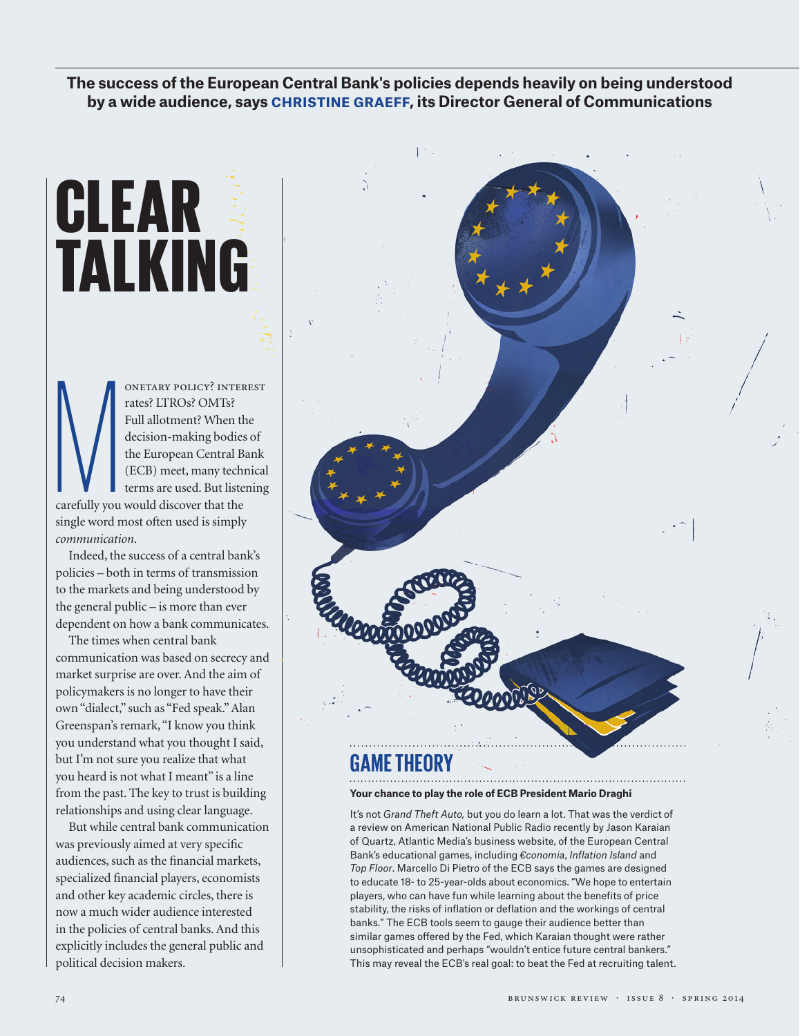**The success of the European Central Bank's policies depends heavily on being understood by a wide audience, says CHRISTINE GRAEFF, its Director General of Communications** 

# CLEAR TALKING

 $\sum_{\text{carefully you}}$ onetary policy? interest rates? LTROs? OMTs? Full allotment? When the decision-making bodies of the European Central Bank (ECB) meet, many technical terms are used. But listening carefully you would discover that the single word most often used is simply *communication*.

Indeed, the success of a central bank's policies – both in terms of transmission to the markets and being understood by the general public – is more than ever dependent on how a bank communicates.

The times when central bank communication was based on secrecy and market surprise are over. And the aim of policymakers is no longer to have their own "dialect," such as "Fed speak." Alan Greenspan's remark, "I know you think you understand what you thought I said, but I'm not sure you realize that what you heard is not what I meant" is a line from the past. The key to trust is building relationships and using clear language.

But while central bank communication was previously aimed at very specific audiences, such as the financial markets, specialized financial players, economists and other key academic circles, there is now a much wider audience interested in the policies of central banks. And this explicitly includes the general public and political decision makers.

## **GAME THEORY**

### **Your chance to play the role of ECB President Mario Draghi**

It's not *Grand Theft Auto,* but you do learn a lot. That was the verdict of a review on American National Public Radio recently by Jason Karaian of Quartz, Atlantic Media's business website, of the European Central Bank's educational games, including *€conomia*, *Inflation Island* and *Top Floor*. Marcello Di Pietro of the ECB says the games are designed to educate 18- to 25-year-olds about economics. "We hope to entertain players, who can have fun while learning about the benefits of price stability, the risks of inflation or deflation and the workings of central banks." The ECB tools seem to gauge their audience better than similar games offered by the Fed, which Karaian thought were rather unsophisticated and perhaps "wouldn't entice future central bankers." This may reveal the ECB's real goal: to beat the Fed at recruiting talent.